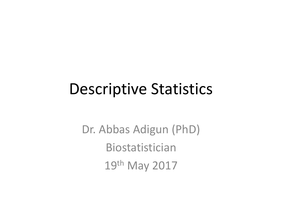# Descriptive Statistics

Dr. Abbas Adigun (PhD) Biostatistician 19th May 2017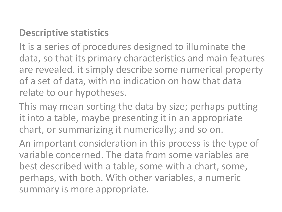#### **Descriptive statistics**

It is a series of procedures designed to illuminate the data, so that its primary characteristics and main features are revealed. it simply describe some numerical property of a set of data, with no indication on how that data relate to our hypotheses.

This may mean sorting the data by size; perhaps putting it into a table, maybe presenting it in an appropriate chart, or summarizing it numerically; and so on.

An important consideration in this process is the type of variable concerned. The data from some variables are best described with a table, some with a chart, some, perhaps, with both. With other variables, a numeric summary is more appropriate.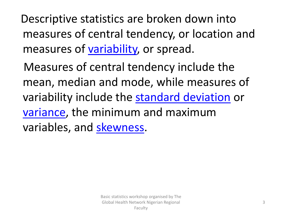Descriptive statistics are broken down into measures of central tendency, or location and measures of [variability,](http://www.investopedia.com/terms/v/variability.asp) or spread.

Measures of central tendency include the mean, median and mode, while measures of variability include the [standard deviation](http://www.investopedia.com/terms/s/standarddeviation.asp) or [variance,](http://www.investopedia.com/terms/v/variance.asp) the minimum and maximum variables, and [skewness](http://www.investopedia.com/terms/s/skewness.asp).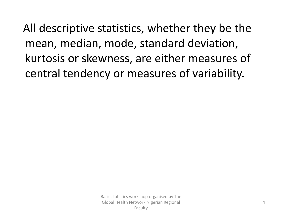All descriptive statistics, whether they be the mean, median, mode, standard deviation, kurtosis or skewness, are either measures of central tendency or measures of variability.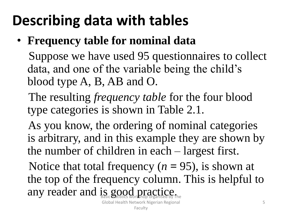# **Describing data with tables**

• **Frequency table for nominal data**

Suppose we have used 95 questionnaires to collect data, and one of the variable being the child's blood type A, B, AB and O.

- The resulting *frequency table* for the four blood type categories is shown in Table 2.1.
- As you know, the ordering of nominal categories is arbitrary, and in this example they are shown by the number of children in each – largest first.

Notice that total frequency  $(n = 95)$ , is shown at the top of the frequency column. This is helpful to any reader and is good practice.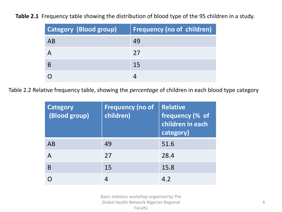**Table 2.1** Frequency table showing the distribution of blood type of the 95 children in a study.

| <b>Category (Blood group)</b> | <b>Frequency (no of children)</b> |
|-------------------------------|-----------------------------------|
| AB                            | 49                                |
|                               | 27                                |
|                               | 15                                |
|                               |                                   |

Table 2.2 Relative frequency table, showing the *percentage* of children in each blood type category

| <b>Category</b><br>(Blood group) | <b>Frequency (no of</b><br>children) | <b>Relative</b><br>frequency (% of<br>children in each<br>category) |
|----------------------------------|--------------------------------------|---------------------------------------------------------------------|
| AB                               | 49                                   | 51.6                                                                |
| A                                | 27                                   | 28.4                                                                |
| B                                | 15                                   | 15.8                                                                |
|                                  |                                      | 4.2                                                                 |

Basic statistics workshop organised by The Global Health Network Nigerian Regional Faculty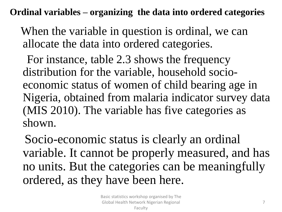**Ordinal variables – organizing the data into ordered categories**

When the variable in question is ordinal, we can allocate the data into ordered categories.

For instance, table 2.3 shows the frequency distribution for the variable, household socioeconomic status of women of child bearing age in Nigeria, obtained from malaria indicator survey data (MIS 2010). The variable has five categories as shown.

Socio-economic status is clearly an ordinal variable. It cannot be properly measured, and has no units. But the categories can be meaningfully ordered, as they have been here.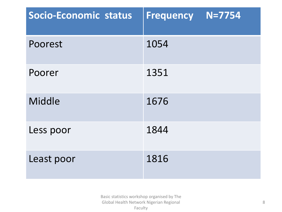| Socio-Economic status | $N = 7754$<br><b>Frequency</b> |
|-----------------------|--------------------------------|
| Poorest               | 1054                           |
| Poorer                | 1351                           |
| Middle                | 1676                           |
| Less poor             | 1844                           |
| Least poor            | 1816                           |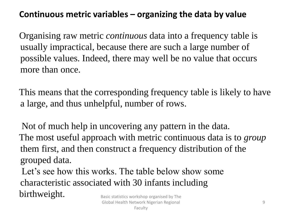#### **Continuous metric variables – organizing the data by value**

Organising raw metric *continuous* data into a frequency table is usually impractical, because there are such a large number of possible values. Indeed, there may well be no value that occurs more than once.

This means that the corresponding frequency table is likely to have a large, and thus unhelpful, number of rows.

Not of much help in uncovering any pattern in the data. The most useful approach with metric continuous data is to *group* them first, and then construct a frequency distribution of the grouped data.

Let's see how this works. The table below show some characteristic associated with 30 infants including  $birthweight.$  Basic statistics workshop organised by The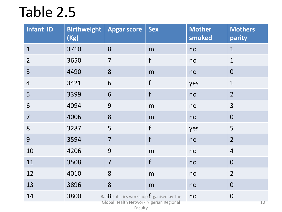# Table 2.5

| Infant ID      | <b>Birthweight</b><br>(Kg) | <b>Apgar score</b>                                                                                       | <b>Sex</b> | <b>Mother</b><br>smoked | <b>Mothers</b><br>parity |
|----------------|----------------------------|----------------------------------------------------------------------------------------------------------|------------|-------------------------|--------------------------|
| $\mathbf{1}$   | 3710                       | 8                                                                                                        | m          | no                      | $\mathbf{1}$             |
| $\overline{2}$ | 3650                       | $\overline{7}$                                                                                           | f          | no                      | $\mathbf{1}$             |
| 3              | 4490                       | 8                                                                                                        | m          | no                      | $\mathbf{0}$             |
| $\overline{4}$ | 3421                       | 6                                                                                                        | f          | yes                     | $\mathbf{1}$             |
| 5              | 3399                       | 6                                                                                                        | f          | no                      | $\overline{2}$           |
| 6              | 4094                       | 9                                                                                                        | m          | no                      | 3                        |
| $\overline{7}$ | 4006                       | 8                                                                                                        | m          | no                      | $\overline{0}$           |
| 8              | 3287                       | 5                                                                                                        | f          | yes                     | 5                        |
| 9              | 3594                       | $\overline{7}$                                                                                           | f          | no                      | $\overline{2}$           |
| 10             | 4206                       | 9                                                                                                        | m          | no                      | $\overline{4}$           |
| 11             | 3508                       | $\overline{7}$                                                                                           | f          | no                      | $\overline{0}$           |
| 12             | 4010                       | 8                                                                                                        | m          | no                      | $\overline{2}$           |
| 13             | 3896                       | 8                                                                                                        | m          | no                      | $\overline{0}$           |
| 14             | 3800                       | Basi <sup>8</sup> statistics workshop <i>brganised</i> by The<br>Global Health Network Nigerian Regional |            | no                      | $\boldsymbol{0}$<br>10   |

Faculty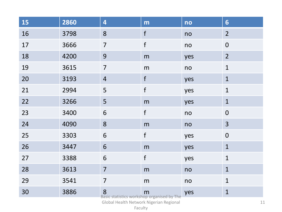| <b>15</b> | 2860 | 4                                                                                                                                                                                                 | m           | no  | $6\overline{6}$  |
|-----------|------|---------------------------------------------------------------------------------------------------------------------------------------------------------------------------------------------------|-------------|-----|------------------|
| 16        | 3798 | 8                                                                                                                                                                                                 | f           | no  | $\overline{2}$   |
| 17        | 3666 | $\overline{7}$                                                                                                                                                                                    | $\mathsf f$ | no  | $\boldsymbol{0}$ |
| 18        | 4200 | 9                                                                                                                                                                                                 | m           | yes | $\overline{2}$   |
| 19        | 3615 | $\overline{7}$                                                                                                                                                                                    | m           | no  | $\mathbf{1}$     |
| 20        | 3193 | $\overline{4}$                                                                                                                                                                                    | $\mathsf f$ | yes | $\mathbf{1}$     |
| 21        | 2994 | 5                                                                                                                                                                                                 | $\mathsf f$ | yes | $\mathbf{1}$     |
| 22        | 3266 | 5                                                                                                                                                                                                 | m           | yes | $\mathbf{1}$     |
| 23        | 3400 | 6                                                                                                                                                                                                 | $\mathsf f$ | no  | $\boldsymbol{0}$ |
| 24        | 4090 | 8                                                                                                                                                                                                 | m           | no  | 3                |
| 25        | 3303 | 6                                                                                                                                                                                                 | $\mathsf f$ | yes | $\mathbf 0$      |
| 26        | 3447 | 6                                                                                                                                                                                                 | ${\sf m}$   | yes | $\mathbf{1}$     |
| 27        | 3388 | 6                                                                                                                                                                                                 | f           | yes | $\mathbf{1}$     |
| 28        | 3613 | $\overline{7}$                                                                                                                                                                                    | m           | no  | $\mathbf{1}$     |
| 29        | 3541 | $\overline{7}$                                                                                                                                                                                    | ${\sf m}$   | no  | $\mathbf{1}$     |
| 30        | 3886 | 8<br>Basic statistics workshop organised by The<br>$\sim$ 1 $\pm$ 1 $\pm$ 1 $\pm$ 1 $\pm$ 1 $\pm$ 1 $\pm$ 1 $\pm$ 1 $\pm$ 1 $\pm$ 1 $\pm$ 1 $\pm$ 1 $\pm$ 1 $\pm$ 1 $\pm$ 1 $\pm$ 1 $\pm$ 1 $\pm$ |             | yes | $\mathbf{1}$     |

Global Health Network Nigerian Regional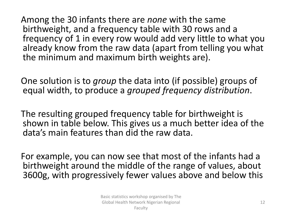Among the 30 infants there are *none* with the same birthweight, and a frequency table with 30 rows and a frequency of 1 in every row would add very little to what you already know from the raw data (apart from telling you what the minimum and maximum birth weights are).

One solution is to *group* the data into (if possible) groups of equal width, to produce a *grouped frequency distribution*.

The resulting grouped frequency table for birthweight is shown in table below. This gives us a much better idea of the data's main features than did the raw data.

For example, you can now see that most of the infants had a birthweight around the middle of the range of values, about 3600g, with progressively fewer values above and below this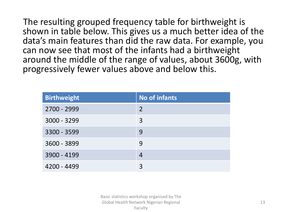The resulting grouped frequency table for birthweight is shown in table below. This gives us a much better idea of the data's main features than did the raw data. For example, you can now see that most of the infants had a birthweight around the middle of the range of values, about 3600g, with progressively fewer values above and below this.

| <b>Birthweight</b> | No of infants |
|--------------------|---------------|
| 2700 - 2999        | 2             |
| $3000 - 3299$      | 3             |
| 3300 - 3599        | 9             |
| 3600 - 3899        | 9             |
| 3900 - 4199        | 4             |
| 4200 - 4499        |               |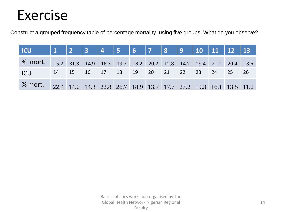## Exercise

Construct a grouped frequency table of percentage mortality using five groups. What do you observe?

| <b>% mort.</b> 15.2 31.3 14.9 16.3 19.3 18.2 20.2 12.8 14.7 29.4 21.1 20.4 13.6 |  |  |  |  |  |  |  |
|---------------------------------------------------------------------------------|--|--|--|--|--|--|--|
| ICU   14   15   16   17   18   19   20   21   22   23   24   25   26            |  |  |  |  |  |  |  |
| % mort. 22.4 14.0 14.3 22.8 26.7 18.9 13.7 17.7 27.2 19.3 16.1 13.5 11.2        |  |  |  |  |  |  |  |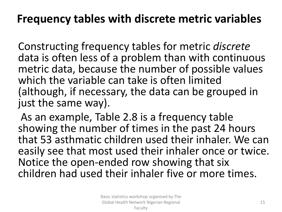### **Frequency tables with discrete metric variables**

Constructing frequency tables for metric *discrete* data is often less of a problem than with continuous metric data, because the number of possible values which the variable can take is often limited (although, if necessary, the data can be grouped in just the same way).

As an example, Table 2.8 is a frequency table showing the number of times in the past 24 hours that 53 asthmatic children used their inhaler. We can easily see that most used their inhaler once or twice. Notice the open-ended row showing that six children had used their inhaler five or more times.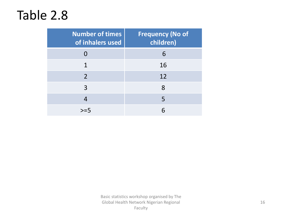## Table 2.8

| <b>Number of times</b><br>of inhalers used | <b>Frequency (No of</b><br>children) |
|--------------------------------------------|--------------------------------------|
|                                            | 6                                    |
| 1                                          | 16                                   |
| $\overline{2}$                             | 12                                   |
| 3                                          | 8                                    |
| 4                                          | 5                                    |
|                                            |                                      |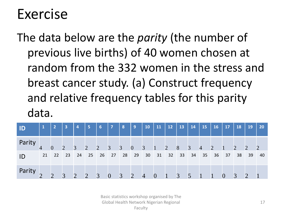## Exercise

The data below are the *parity* (the number of previous live births) of 40 women chosen at random from the 332 women in the stress and breast cancer study. (a) Construct frequency and relative frequency tables for this parity data.

| $\blacksquare$ | $\sqrt{1}$ | <b>2</b>       | $\overline{\mathbf{3}}$ | 4               | 5              | $6\phantom{1}6$ | $\overline{7}$ | 8              | 9              | <b>10</b>      | 11             | 12 | 13             | 14             | <b>15</b>      | <b>16</b>      | <b>17</b>      | 18             | 19             | 20 |
|----------------|------------|----------------|-------------------------|-----------------|----------------|-----------------|----------------|----------------|----------------|----------------|----------------|----|----------------|----------------|----------------|----------------|----------------|----------------|----------------|----|
| Parity         |            | $\overline{0}$ | $\overline{2}$          | $\overline{3}$  | $\overline{2}$ | 2               | $\overline{3}$ | $\overline{3}$ | $\theta$       | $\overline{3}$ | $\mathbf{1}$   | 2  | 8              | $\mathfrak{Z}$ | $\overline{4}$ | $\overline{2}$ | $\mathbf{1}$   | $\overline{2}$ | $\overline{2}$ | 2  |
| ID             | 21         | 22             | 23                      | -24             | 25             | 26              | 27             | 28             | 29             | 30             | 31             | 32 | 33             | - 34           | 35             | 36             | 37             | 38             | 39             | 40 |
| Parity         |            | $\overline{2}$ | $\vert 3 \vert$         | $\vert 2 \vert$ | $\overline{2}$ | $\overline{3}$  | $\overline{0}$ | $\overline{3}$ | $\overline{2}$ | $\overline{4}$ | $\overline{0}$ |    | $\mathfrak{Z}$ | 5              | $\mathbf{1}$   |                | $\overline{0}$ | $\overline{3}$ | $\overline{2}$ |    |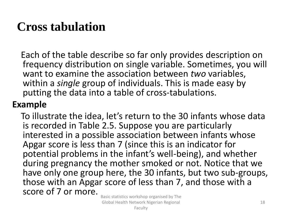## **Cross tabulation**

Each of the table describe so far only provides description on frequency distribution on single variable. Sometimes, you will want to examine the association between *two* variables, within a *single* group of individuals. This is made easy by putting the data into a table of cross-tabulations.

#### **Example**

To illustrate the idea, let's return to the 30 infants whose data is recorded in Table 2.5. Suppose you are particularly interested in a possible association between infants whose Apgar score is less than 7 (since this is an indicator for potential problems in the infant's well-being), and whether during pregnancy the mother smoked or not. Notice that we have only one group here, the 30 infants, but two sub-groups, those with an Apgar score of less than 7, and those with a score of 7 or more.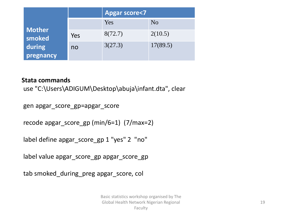|                     |     | <b>Apgar score&lt;7</b> |                |  |  |  |  |  |
|---------------------|-----|-------------------------|----------------|--|--|--|--|--|
|                     |     | Yes                     | N <sub>o</sub> |  |  |  |  |  |
| Mother<br>smoked    | Yes | 8(72.7)                 | 2(10.5)        |  |  |  |  |  |
| during<br>pregnancy | no  | 3(27.3)                 | 17(89.5)       |  |  |  |  |  |

#### **Stata commands**

use "C:\Users\ADIGUM\Desktop\abuja\infant.dta", clear

gen apgar\_score\_gp=apgar\_score

recode apgar\_score\_gp (min/6=1) (7/max=2)

label define apgar\_score\_gp 1 "yes" 2 "no"

label value apgar\_score\_gp apgar\_score\_gp

tab smoked\_during\_preg apgar\_score, col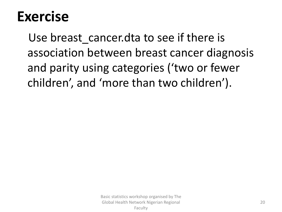# **Exercise**

Use breast cancer.dta to see if there is association between breast cancer diagnosis and parity using categories ('two or fewer children', and 'more than two children').